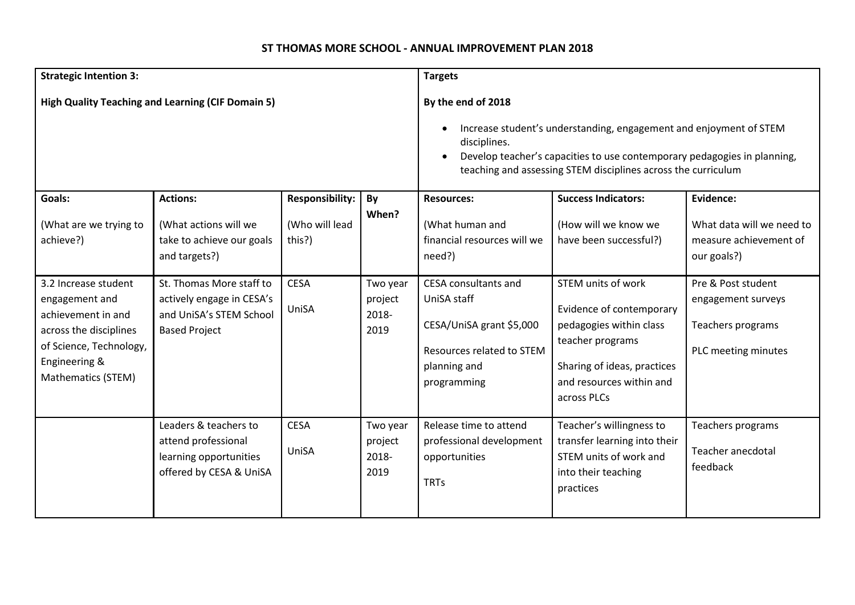## **ST THOMAS MORE SCHOOL - ANNUAL IMPROVEMENT PLAN 2018**

| <b>Strategic Intention 3:</b>                                                                                                                            |                                                                                                          |                                                    | <b>Targets</b>                       |                                                                                                                             |                                                                                                                                                                                                                 |                                                                                      |
|----------------------------------------------------------------------------------------------------------------------------------------------------------|----------------------------------------------------------------------------------------------------------|----------------------------------------------------|--------------------------------------|-----------------------------------------------------------------------------------------------------------------------------|-----------------------------------------------------------------------------------------------------------------------------------------------------------------------------------------------------------------|--------------------------------------------------------------------------------------|
| <b>High Quality Teaching and Learning (CIF Domain 5)</b>                                                                                                 |                                                                                                          |                                                    |                                      | By the end of 2018<br>disciplines.                                                                                          | Increase student's understanding, engagement and enjoyment of STEM<br>Develop teacher's capacities to use contemporary pedagogies in planning,<br>teaching and assessing STEM disciplines across the curriculum |                                                                                      |
| Goals:<br>(What are we trying to<br>achieve?)                                                                                                            | <b>Actions:</b><br>(What actions will we<br>take to achieve our goals<br>and targets?)                   | <b>Responsibility:</b><br>(Who will lead<br>this?) | By<br>When?                          | <b>Resources:</b><br>(What human and<br>financial resources will we<br>need?)                                               | <b>Success Indicators:</b><br>(How will we know we<br>have been successful?)                                                                                                                                    | Evidence:<br>What data will we need to<br>measure achievement of<br>our goals?)      |
| 3.2 Increase student<br>engagement and<br>achievement in and<br>across the disciplines<br>of Science, Technology,<br>Engineering &<br>Mathematics (STEM) | St. Thomas More staff to<br>actively engage in CESA's<br>and UniSA's STEM School<br><b>Based Project</b> | <b>CESA</b><br>UniSA                               | Two year<br>project<br>2018-<br>2019 | CESA consultants and<br>UniSA staff<br>CESA/UniSA grant \$5,000<br>Resources related to STEM<br>planning and<br>programming | STEM units of work<br>Evidence of contemporary<br>pedagogies within class<br>teacher programs<br>Sharing of ideas, practices<br>and resources within and<br>across PLCs                                         | Pre & Post student<br>engagement surveys<br>Teachers programs<br>PLC meeting minutes |
|                                                                                                                                                          | Leaders & teachers to<br>attend professional<br>learning opportunities<br>offered by CESA & UniSA        | <b>CESA</b><br>UniSA                               | Two year<br>project<br>2018-<br>2019 | Release time to attend<br>professional development<br>opportunities<br><b>TRTs</b>                                          | Teacher's willingness to<br>transfer learning into their<br>STEM units of work and<br>into their teaching<br>practices                                                                                          | Teachers programs<br><b>Teacher anecdotal</b><br>feedback                            |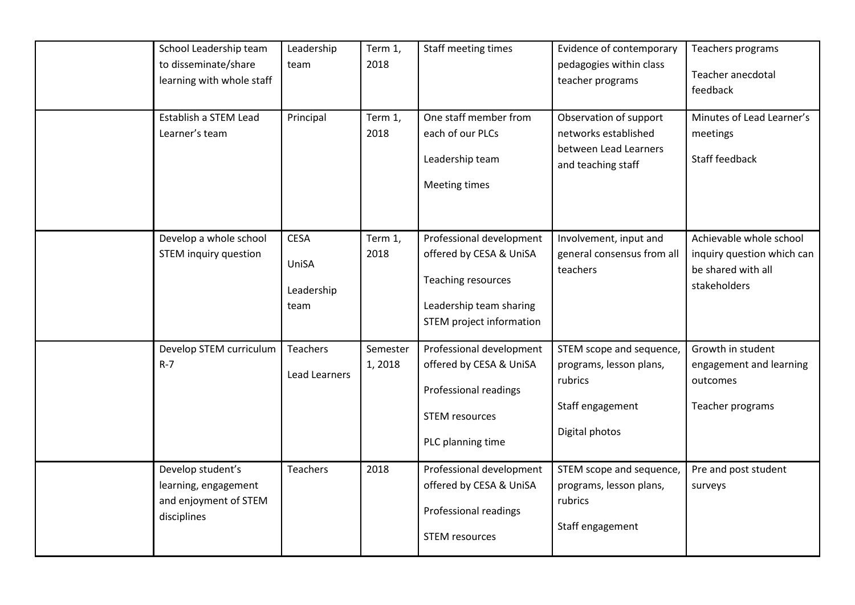| School Leadership team<br>to disseminate/share<br>learning with whole staff       | Leadership<br>team                         | Term 1,<br>2018    | Staff meeting times                                                                                                              | Evidence of contemporary<br>pedagogies within class<br>teacher programs                              | Teachers programs<br>Teacher anecdotal<br>feedback                                          |
|-----------------------------------------------------------------------------------|--------------------------------------------|--------------------|----------------------------------------------------------------------------------------------------------------------------------|------------------------------------------------------------------------------------------------------|---------------------------------------------------------------------------------------------|
| Establish a STEM Lead<br>Learner's team                                           | Principal                                  | Term 1,<br>2018    | One staff member from<br>each of our PLCs<br>Leadership team<br>Meeting times                                                    | Observation of support<br>networks established<br>between Lead Learners<br>and teaching staff        | Minutes of Lead Learner's<br>meetings<br>Staff feedback                                     |
| Develop a whole school<br><b>STEM inquiry question</b>                            | <b>CESA</b><br>UniSA<br>Leadership<br>team | Term 1,<br>2018    | Professional development<br>offered by CESA & UniSA<br>Teaching resources<br>Leadership team sharing<br>STEM project information | Involvement, input and<br>general consensus from all<br>teachers                                     | Achievable whole school<br>inquiry question which can<br>be shared with all<br>stakeholders |
| Develop STEM curriculum<br>$R - 7$                                                | Teachers<br><b>Lead Learners</b>           | Semester<br>1,2018 | Professional development<br>offered by CESA & UniSA<br>Professional readings<br><b>STEM resources</b><br>PLC planning time       | STEM scope and sequence,<br>programs, lesson plans,<br>rubrics<br>Staff engagement<br>Digital photos | Growth in student<br>engagement and learning<br>outcomes<br>Teacher programs                |
| Develop student's<br>learning, engagement<br>and enjoyment of STEM<br>disciplines | <b>Teachers</b>                            | 2018               | Professional development<br>offered by CESA & UniSA<br>Professional readings<br><b>STEM resources</b>                            | STEM scope and sequence,<br>programs, lesson plans,<br>rubrics<br>Staff engagement                   | Pre and post student<br>surveys                                                             |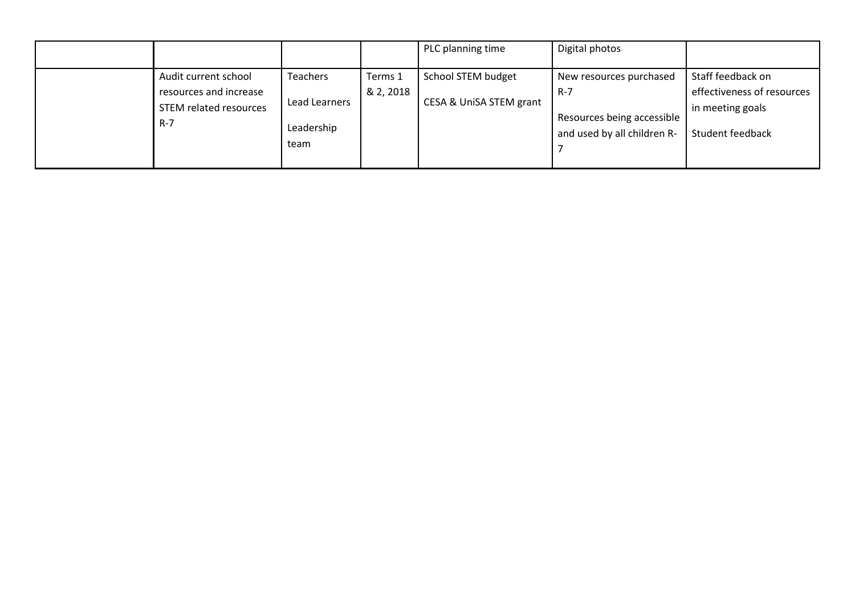|                                                                                     |                                                        |                      | PLC planning time                             | Digital photos                                                                              |                                                                                         |
|-------------------------------------------------------------------------------------|--------------------------------------------------------|----------------------|-----------------------------------------------|---------------------------------------------------------------------------------------------|-----------------------------------------------------------------------------------------|
| Audit current school<br>resources and increase<br>STEM related resources<br>$R - 7$ | <b>Teachers</b><br>Lead Learners<br>Leadership<br>team | Terms 1<br>& 2, 2018 | School STEM budget<br>CESA & UniSA STEM grant | New resources purchased<br>R-7<br>Resources being accessible<br>and used by all children R- | Staff feedback on<br>effectiveness of resources<br>in meeting goals<br>Student feedback |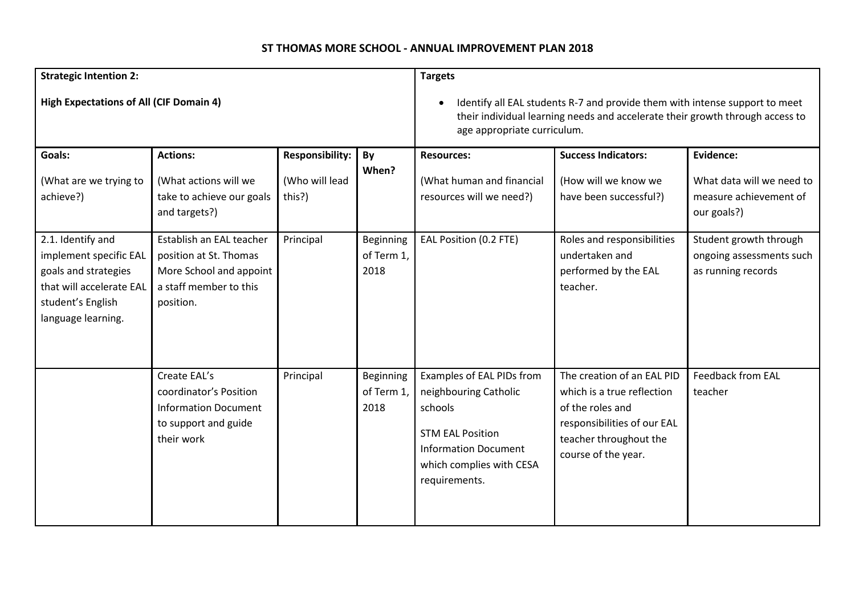## **ST THOMAS MORE SCHOOL - ANNUAL IMPROVEMENT PLAN 2018**

| <b>Strategic Intention 2:</b>                                                                                                              |                                                                                                                      |                                                    |                                                                                                                                                                                                          | <b>Targets</b>                                                                                                                                                       |                                                                                                                                                              |                                                                                 |  |
|--------------------------------------------------------------------------------------------------------------------------------------------|----------------------------------------------------------------------------------------------------------------------|----------------------------------------------------|----------------------------------------------------------------------------------------------------------------------------------------------------------------------------------------------------------|----------------------------------------------------------------------------------------------------------------------------------------------------------------------|--------------------------------------------------------------------------------------------------------------------------------------------------------------|---------------------------------------------------------------------------------|--|
| <b>High Expectations of All (CIF Domain 4)</b>                                                                                             |                                                                                                                      |                                                    | Identify all EAL students R-7 and provide them with intense support to meet<br>$\bullet$<br>their individual learning needs and accelerate their growth through access to<br>age appropriate curriculum. |                                                                                                                                                                      |                                                                                                                                                              |                                                                                 |  |
| Goals:<br>(What are we trying to<br>achieve?)                                                                                              | <b>Actions:</b><br>(What actions will we<br>take to achieve our goals<br>and targets?)                               | <b>Responsibility:</b><br>(Who will lead<br>this?) | By<br>When?                                                                                                                                                                                              | <b>Resources:</b><br>(What human and financial<br>resources will we need?)                                                                                           | <b>Success Indicators:</b><br>(How will we know we<br>have been successful?)                                                                                 | Evidence:<br>What data will we need to<br>measure achievement of<br>our goals?) |  |
| 2.1. Identify and<br>implement specific EAL<br>goals and strategies<br>that will accelerate EAL<br>student's English<br>language learning. | Establish an EAL teacher<br>position at St. Thomas<br>More School and appoint<br>a staff member to this<br>position. | Principal                                          | <b>Beginning</b><br>of Term 1,<br>2018                                                                                                                                                                   | EAL Position (0.2 FTE)                                                                                                                                               | Roles and responsibilities<br>undertaken and<br>performed by the EAL<br>teacher.                                                                             | Student growth through<br>ongoing assessments such<br>as running records        |  |
|                                                                                                                                            | Create EAL's<br>coordinator's Position<br><b>Information Document</b><br>to support and guide<br>their work          | Principal                                          | Beginning<br>of Term 1,<br>2018                                                                                                                                                                          | Examples of EAL PIDs from<br>neighbouring Catholic<br>schools<br><b>STM EAL Position</b><br><b>Information Document</b><br>which complies with CESA<br>requirements. | The creation of an EAL PID<br>which is a true reflection<br>of the roles and<br>responsibilities of our EAL<br>teacher throughout the<br>course of the year. | <b>Feedback from EAL</b><br>teacher                                             |  |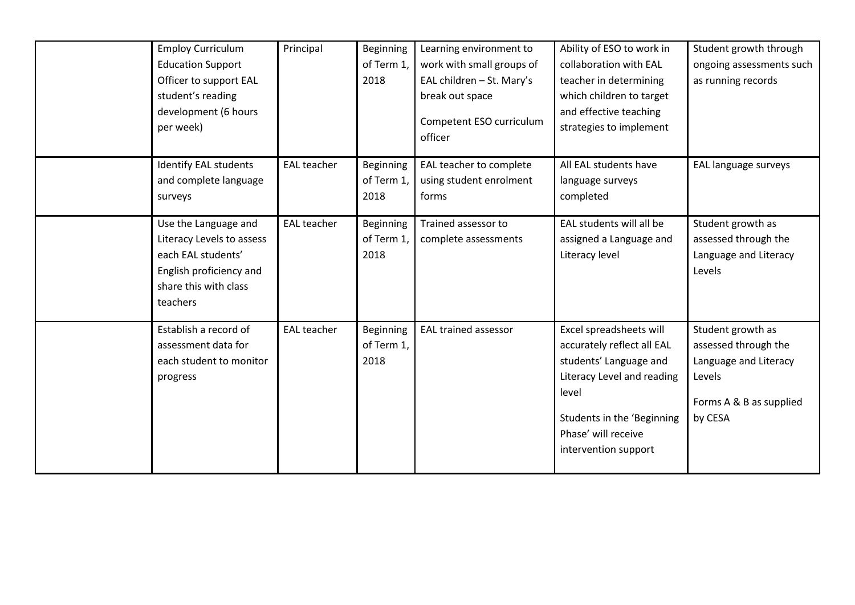| <b>Employ Curriculum</b><br><b>Education Support</b><br>Officer to support EAL<br>student's reading<br>development (6 hours<br>per week) | Principal          | Beginning<br>of Term 1,<br>2018        | Learning environment to<br>work with small groups of<br>EAL children - St. Mary's<br>break out space<br>Competent ESO curriculum<br>officer | Ability of ESO to work in<br>collaboration with EAL<br>teacher in determining<br>which children to target<br>and effective teaching<br>strategies to implement                                      | Student growth through<br>ongoing assessments such<br>as running records                                           |
|------------------------------------------------------------------------------------------------------------------------------------------|--------------------|----------------------------------------|---------------------------------------------------------------------------------------------------------------------------------------------|-----------------------------------------------------------------------------------------------------------------------------------------------------------------------------------------------------|--------------------------------------------------------------------------------------------------------------------|
| <b>Identify EAL students</b><br>and complete language<br>surveys                                                                         | <b>EAL teacher</b> | <b>Beginning</b><br>of Term 1,<br>2018 | EAL teacher to complete<br>using student enrolment<br>forms                                                                                 | All EAL students have<br>language surveys<br>completed                                                                                                                                              | EAL language surveys                                                                                               |
| Use the Language and<br>Literacy Levels to assess<br>each EAL students'<br>English proficiency and<br>share this with class<br>teachers  | <b>EAL teacher</b> | <b>Beginning</b><br>of Term 1,<br>2018 | Trained assessor to<br>complete assessments                                                                                                 | EAL students will all be<br>assigned a Language and<br>Literacy level                                                                                                                               | Student growth as<br>assessed through the<br>Language and Literacy<br>Levels                                       |
| Establish a record of<br>assessment data for<br>each student to monitor<br>progress                                                      | <b>EAL teacher</b> | <b>Beginning</b><br>of Term 1,<br>2018 | <b>EAL trained assessor</b>                                                                                                                 | Excel spreadsheets will<br>accurately reflect all EAL<br>students' Language and<br>Literacy Level and reading<br>level<br>Students in the 'Beginning<br>Phase' will receive<br>intervention support | Student growth as<br>assessed through the<br>Language and Literacy<br>Levels<br>Forms A & B as supplied<br>by CESA |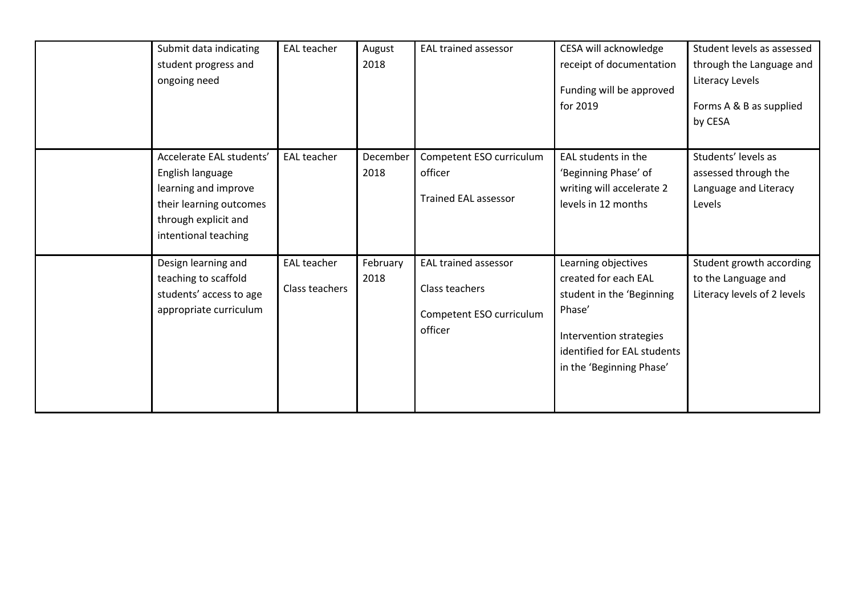| Submit data indicating<br>student progress and<br>ongoing need                                                                                  | <b>EAL teacher</b>                   | August<br>2018   | <b>EAL trained assessor</b>                                                          | CESA will acknowledge<br>receipt of documentation<br>Funding will be approved<br>for 2019                                                                                | Student levels as assessed<br>through the Language and<br>Literacy Levels<br>Forms A & B as supplied<br>by CESA |
|-------------------------------------------------------------------------------------------------------------------------------------------------|--------------------------------------|------------------|--------------------------------------------------------------------------------------|--------------------------------------------------------------------------------------------------------------------------------------------------------------------------|-----------------------------------------------------------------------------------------------------------------|
| Accelerate EAL students'<br>English language<br>learning and improve<br>their learning outcomes<br>through explicit and<br>intentional teaching | <b>EAL teacher</b>                   | December<br>2018 | Competent ESO curriculum<br>officer<br><b>Trained EAL assessor</b>                   | EAL students in the<br>'Beginning Phase' of<br>writing will accelerate 2<br>levels in 12 months                                                                          | Students' levels as<br>assessed through the<br>Language and Literacy<br>Levels                                  |
| Design learning and<br>teaching to scaffold<br>students' access to age<br>appropriate curriculum                                                | <b>EAL teacher</b><br>Class teachers | February<br>2018 | <b>EAL trained assessor</b><br>Class teachers<br>Competent ESO curriculum<br>officer | Learning objectives<br>created for each EAL<br>student in the 'Beginning<br>Phase'<br>Intervention strategies<br>identified for EAL students<br>in the 'Beginning Phase' | Student growth according<br>to the Language and<br>Literacy levels of 2 levels                                  |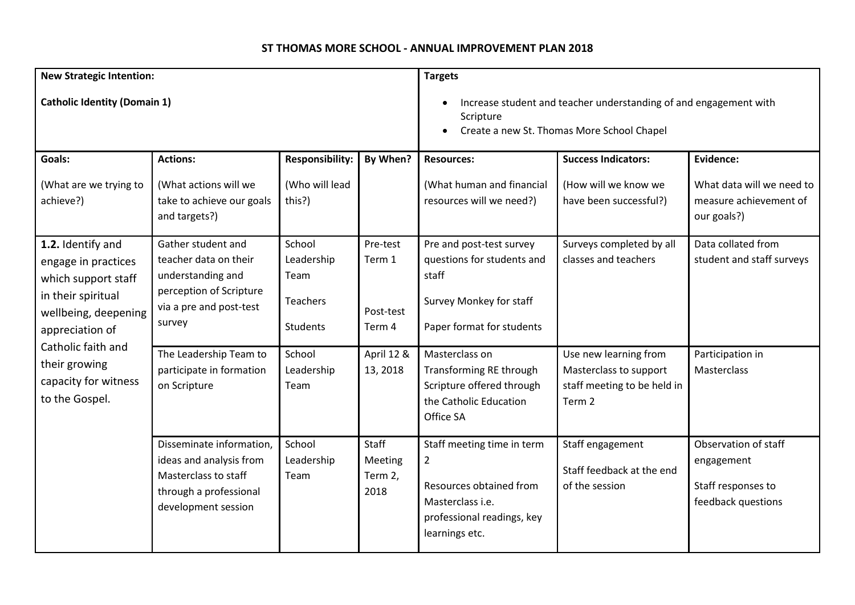## **ST THOMAS MORE SCHOOL - ANNUAL IMPROVEMENT PLAN 2018**

| <b>New Strategic Intention:</b>                                                                                                                                                                                   |                                                                                                                                                            |                                                                | <b>Targets</b>                                                                                                               |                                                                                                                                             |                                                                           |                                                                                |
|-------------------------------------------------------------------------------------------------------------------------------------------------------------------------------------------------------------------|------------------------------------------------------------------------------------------------------------------------------------------------------------|----------------------------------------------------------------|------------------------------------------------------------------------------------------------------------------------------|---------------------------------------------------------------------------------------------------------------------------------------------|---------------------------------------------------------------------------|--------------------------------------------------------------------------------|
| <b>Catholic Identity (Domain 1)</b>                                                                                                                                                                               |                                                                                                                                                            |                                                                | Increase student and teacher understanding of and engagement with<br>Scripture<br>Create a new St. Thomas More School Chapel |                                                                                                                                             |                                                                           |                                                                                |
| Goals:                                                                                                                                                                                                            | <b>Actions:</b>                                                                                                                                            | <b>Responsibility:</b>                                         | By When?                                                                                                                     | <b>Resources:</b>                                                                                                                           | <b>Success Indicators:</b>                                                | Evidence:                                                                      |
| (What are we trying to<br>achieve?)                                                                                                                                                                               | (What actions will we<br>take to achieve our goals<br>and targets?)                                                                                        | (Who will lead<br>this?)                                       |                                                                                                                              | (What human and financial<br>resources will we need?)                                                                                       | (How will we know we<br>have been successful?)                            | What data will we need to<br>measure achievement of<br>our goals?)             |
| 1.2. Identify and<br>engage in practices<br>which support staff<br>in their spiritual<br>wellbeing, deepening<br>appreciation of<br>Catholic faith and<br>their growing<br>capacity for witness<br>to the Gospel. | Gather student and<br>teacher data on their<br>understanding and<br>perception of Scripture<br>via a pre and post-test<br>survey<br>The Leadership Team to | School<br>Leadership<br>Team<br>Teachers<br>Students<br>School | Pre-test<br>Term 1<br>Post-test<br>Term 4<br>April 12 &                                                                      | Pre and post-test survey<br>questions for students and<br>staff<br>Survey Monkey for staff<br>Paper format for students<br>Masterclass on   | Surveys completed by all<br>classes and teachers<br>Use new learning from | Data collated from<br>student and staff surveys<br>Participation in            |
|                                                                                                                                                                                                                   | participate in formation<br>on Scripture                                                                                                                   | Leadership<br>Team                                             | 13, 2018                                                                                                                     | Transforming RE through<br>Scripture offered through<br>the Catholic Education<br>Office SA                                                 | Masterclass to support<br>staff meeting to be held in<br>Term 2           | Masterclass                                                                    |
|                                                                                                                                                                                                                   | Disseminate information,<br>ideas and analysis from<br>Masterclass to staff<br>through a professional<br>development session                               | School<br>Leadership<br>Team                                   | Staff<br>Meeting<br>Term 2,<br>2018                                                                                          | Staff meeting time in term<br>$\overline{2}$<br>Resources obtained from<br>Masterclass i.e.<br>professional readings, key<br>learnings etc. | Staff engagement<br>Staff feedback at the end<br>of the session           | Observation of staff<br>engagement<br>Staff responses to<br>feedback questions |